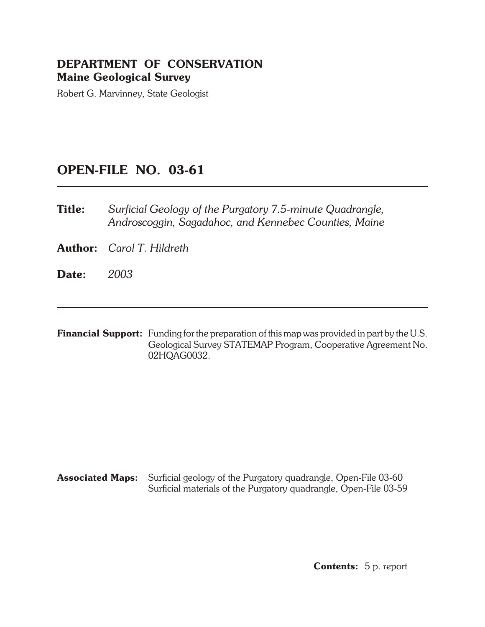# **DEPARTMENT OF CONSERVATION Maine Geological Survey**

Robert G. Marvinney, State Geologist

# **OPEN- FILE NO. 03-61**

**Title:** *Surficial Geology of the Purgatory 7.5-minute Quadrangle, Androscoggin, Sagadahoc, and Kennebec Counties, Maine*

**Author:** *Carol T. Hildreth*

- **Date:** *2003*
- **Financial Support:** Funding for the preparation of this map was provided in part by the U.S. Geological Survey STATEMAP Program, Cooperative Agreement No. 02HQAG0032.

**Associated Maps:** Surficial geology of the Purgatory quadrangle, Open-File 03-60 Surficial materials of the Purgatory quadrangle, Open-File 03-59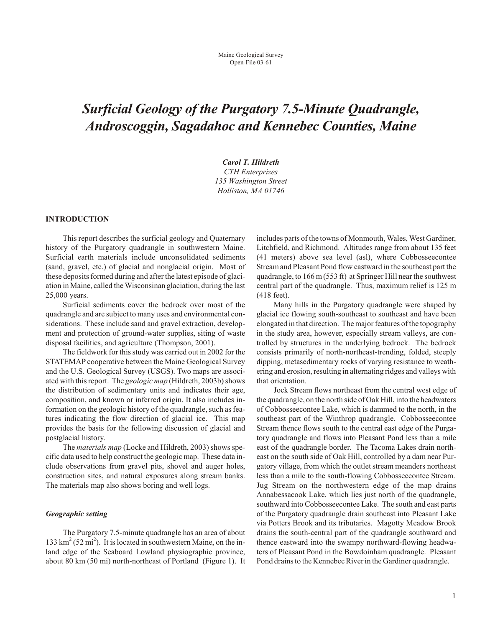# *Surficial Geology of the Purgatory 7.5-Minute Quadrangle, Androscoggin, Sagadahoc and Kennebec Coun ties, Maine*

*Carol T. Hildreth*

*CTH Enterprizes 135 Wash ing ton Street Holliston, MA 01746*

#### **INTRODUCTION**

This report describes the surficial geology and Quaternary history of the Purgatory quadrangle in southwestern Maine. Surficial earth materials include unconsolidated sediments (sand, gravel, etc.) of glacial and nonglacial origin. Most of these deposits formed during and after the latest episode of glaciation in Maine, called the Wisconsinan glaciation, during the last 25,000 years.

Surficial sediments cover the bedrock over most of the quadrangle and are subject to many uses and environmental considerations. These include sand and gravel extraction, development and protection of ground-water supplies, siting of waste disposal facilities, and agriculture (Thompson, 2001).

The field work for this study was carried out in 2002 for the STATEMAP cooperative between the Maine Geological Survey and the U.S. Geological Survey (USGS). Two maps are associated with this report. The *geologic map* (Hildreth, 2003b) shows the distribution of sedimentary units and indicates their age, composition, and known or inferred origin. It also includes information on the geologic history of the quadrangle, such as features indicating the flow direction of glacial ice. This map provides the basis for the following discussion of glacial and postglacial history.

The *materials map* (Locke and Hildreth, 2003) shows specific data used to help construct the geologic map. These data include observations from gravel pits, shovel and auger holes, construction sites, and natural exposures along stream banks. The materials map also shows boring and well logs.

#### **Geographic setting**

The Purgatory 7.5-minute quadrangle has an area of about 133  $\text{km}^2$  (52 mi<sup>2</sup>). It is located in southwestern Maine, on the inland edge of the Seaboard Lowland physiographic province, about 80 km (50 mi) north-northeast of Portland (Figure 1). It includes parts of the towns of Monmouth, Wales, West Gardiner, Litchfield, and Richmond. Altitudes range from about 135 feet (41 meters) above sea level (asl), where Cobbosseecontee Stream and Pleasant Pond flow eastward in the southeast part the quadrangle, to  $166 \text{ m} (553 \text{ ft})$  at Springer Hill near the southwest central part of the quadrangle. Thus, maximum relief is 125 m (418 feet).

Many hills in the Purgatory quadrangle were shaped by glacial ice flowing south-southeast to southeast and have been elongated in that direction. The major features of the topography in the study area, however, especially stream valleys, are controlled by structures in the underlying bedrock. The bedrock consists primarily of north-northeast-trending, folded, steeply dipping, metasedimentary rocks of varying resistance to weathering and erosion, resulting in alternating ridges and valleys with that orientation.

Jock Stream flows northeast from the central west edge of the quadrangle, on the north side of Oak Hill, into the headwaters of Cobbosseecontee Lake, which is dammed to the north, in the southeast part of the Winthrop quadrangle. Cobbosseecontee Stream thence flows south to the central east edge of the Purgatory quadrangle and flows into Pleasant Pond less than a mile east of the quadrangle border. The Tacoma Lakes drain northeast on the south side of Oak Hill, controlled by a dam near Purgatory village, from which the outlet stream meanders northeast less than a mile to the south-flowing Cobbosseecontee Stream. Jug Stream on the northwestern edge of the map drains Annabessacook Lake, which lies just north of the quadrangle, southward into Cobbosseecontee Lake. The south and east parts of the Purgatory quadrangle drain southeast into Pleasant Lake via Potters Brook and its tributaries. Magotty Meadow Brook drains the south-central part of the quadrangle southward and thence eastward into the swampy northward-flowing headwaters of Pleasant Pond in the Bowdoinham quadrangle. Pleasant Pond drains to the Kennebec River in the Gardiner quadrangle.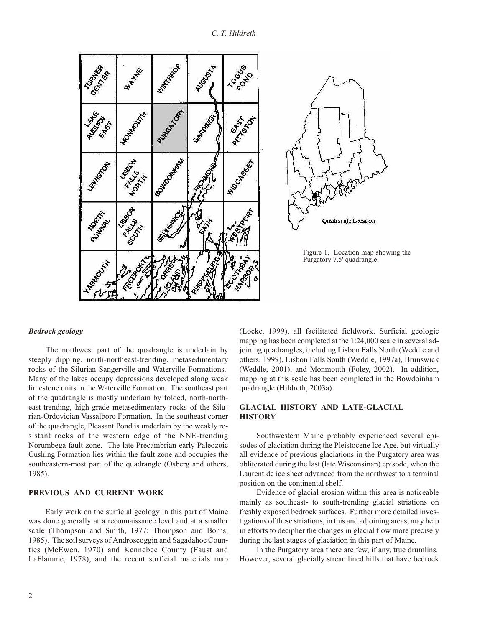

## *Bed rock ge ol ogy*

The northwest part of the quadrangle is underlain by steeply dipping, north-northeast-trending, metasedimentary rocks of the Silurian Sangerville and Waterville Formations. Many of the lakes occupy depressions developed along weak limestone units in the Waterville Formation. The southeast part of the quadrangle is mostly underlain by folded, north-northeast-trending, high-grade metasedimentary rocks of the Silurian-Ordovician Vassalboro Formation. In the southeast corner of the quadrangle, Pleasant Pond is underlain by the weakly resistant rocks of the western edge of the NNE-trending Norumbega fault zone. The late Precambrian-early Paleozoic Cushing Formation lies within the fault zone and occupies the southeastern-most part of the quadrangle (Osberg and others, 1985).

# **PREVIOUS AND CURRENT WORK**

Early work on the surficial geology in this part of Maine was done generally at a reconnaissance level and at a smaller scale (Thompson and Smith, 1977; Thompson and Borns, 1985). The soil surveys of Androscoggin and Sagadahoc Counties (McEwen, 1970) and Kennebec County (Faust and LaFlamme, 1978), and the recent surficial materials map (Locke, 1999), all facilitated fieldwork. Surficial geologic mapping has been completed at the  $1:24,000$  scale in several adjoining quadrangles, including Lisbon Falls North (Weddle and others, 1999), Lisbon Falls South (Weddle, 1997a), Brunswick (Weddle,  $2001$ ), and Monmouth (Foley,  $2002$ ). In addition, mapping at this scale has been completed in the Bowdoinham quadrangle (Hildreth, 2003a).

# **GLACIAL HISTORY AND LATE-GLACIAL HIS TORY**

Southwestern Maine probably experienced several episodes of glaciation during the Pleistocene Ice Age, but virtually all evidence of previous glaciations in the Purgatory area was obliterated during the last (late Wisconsinan) episode, when the Laurentide ice sheet advanced from the northwest to a terminal position on the continental shelf.

Evidence of glacial erosion within this area is noticeable mainly as southeast- to south-trending glacial striations on freshly exposed bedrock surfaces. Further more detailed investigations of these striations, in this and adjoining areas, may help in efforts to decipher the changes in glacial flow more precisely during the last stages of glaciation in this part of Maine.

In the Purgatory area there are few, if any, true drum lins. However, several glacially streamlined hills that have bedrock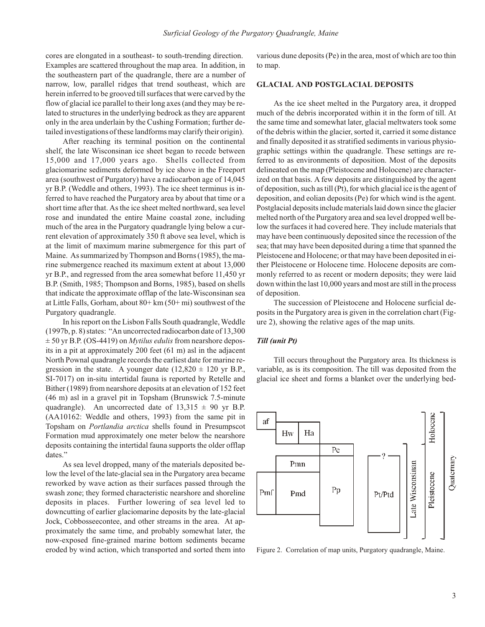cores are elongated in a southeast- to south-trending direction. Examples are scattered throughout the map area. In addition, in the southeastern part of the quadrangle, there are a number of narrow, low, parallel ridges that trend southeast, which are herein inferred to be grooved till surfaces that were carved by the flow of glacial ice parallel to their long axes (and they may be related to structures in the underlying bedrock as they are apparent only in the area underlain by the Cushing Formation; further detailed investigations of these landforms may clarify their origin).

After reaching its terminal position on the continental shelf, the late Wisconsinan ice sheet began to recede between 15,000 and 17,000 years ago. Shells collected from glaciomarine sediments deformed by ice shove in the Freeport area (southwest of Purgatory) have a radiocarbon age of 14,045 yr B.P. (Weddle and others, 1993). The ice sheet terminus is inferred to have reached the Purgatory area by about that time or a short time after that. As the ice sheet melted northward, sea level rose and inundated the entire Maine coastal zone, including much of the area in the Purgatory quadrangle lying below a current elevation of approximately 350 ft above sea level, which is at the limit of maximum marine submergence for this part of Maine. As summarized by Thompson and Borns (1985), the marine submergence reached its maximum extent at about 13,000 yr B.P., and regressed from the area somewhat before 11,450 yr B.P. (Smith, 1985; Thompson and Borns, 1985), based on shells that indicate the approximate offlap of the late-Wisconsinan sea at Little Falls, Gorham, about  $80+ \text{km}$  (50+ mi) southwest of the Purgatory quadrangle.

In his report on the Lisbon Falls South quadrangle, Weddle  $(1997b, p. 8)$  states: "An uncorrected radiocarbon date of  $13,300$  $\pm$  50 yr B.P. (OS-4419) on *Mytilus edulis* from nearshore deposits in a pit at approximately 200 feet  $(61 \text{ m})$  asl in the adjacent North Pownal quadrangle records the earliest date for marine regression in the state. A younger date  $(12,820 \pm 120 \text{ yr B.P.})$ SI-7017) on in-situ intertidal fauna is reported by Retelle and Bither (1989) from nearshore deposits at an elevation of 152 feet  $(46 \text{ m})$  asl in a gravel pit in Topsham (Brunswick 7.5-minute quadrangle). An uncorrected date of  $13,315 \pm 90$  yr B.P.  $(AA10162:$  Weddle and others, 1993) from the same pit in Topsham on *Portlandia arctica* shells found in Presumpscot Formation mud approximately one meter below the nearshore deposits containing the intertidal fauna supports the older offlap dates."

As sea level dropped, many of the materials deposited below the level of the late-glacial sea in the Purgatory area became reworked by wave action as their surfaces passed through the swash zone; they formed characteristic nearshore and shore line deposits in places. Further lowering of sea level led to downcutting of earlier glaciomarine deposits by the late-glacial Jock, Cobbosseecontee, and other streams in the area. At approximately the same time, and probably somewhat later, the now-exposed fine-grained marine bottom sediments became eroded by wind action, which transported and sorted them into various dune deposits (Pe) in the area, most of which are too thin to map.

# **GLACIAL AND POSTGLACIAL DEPOSITS**

As the ice sheet melted in the Purgatory area, it dropped much of the debris incorporated within it in the form of till. At the same time and somewhat later, glacial meltwaters took some of the debris within the glacier, sorted it, carried it some distance and finally deposited it as stratified sediments in various physiographic settings within the quadrangle. These settings are referred to as environments of deposition. Most of the deposits delineated on the map (Pleistocene and Holocene) are characterized on that basis. A few deposits are distinguished by the agent of deposition, such as till  $(Pt)$ , for which glacial ice is the agent of deposition, and eolian deposits (Pe) for which wind is the agent. Postglacial deposits include materials laid down since the glacier melted north of the Purgatory area and sea level dropped well below the surfaces it had covered here. They include materials that may have been continuously deposited since the recession of the sea; that may have been deposited during a time that spanned the Pleistocene and Holocene; or that may have been deposited in either Pleistocene or Holocene time. Holocene deposits are commonly referred to as recent or modern deposits; they were laid down within the last 10,000 years and most are still in the process of deposition.

The succession of Pleistocene and Holocene surficial deposits in the Purgatory area is given in the correlation chart (Figure 2), showing the relative ages of the map units.

#### *Till (unit Pt)*

Till occurs throughout the Purgatory area. Its thickness is variable, as is its composition. The till was deposited from the glacial ice sheet and forms a blanket over the underlying bed-



Figure 2. Correlation of map units, Purgatory quadrangle, Maine.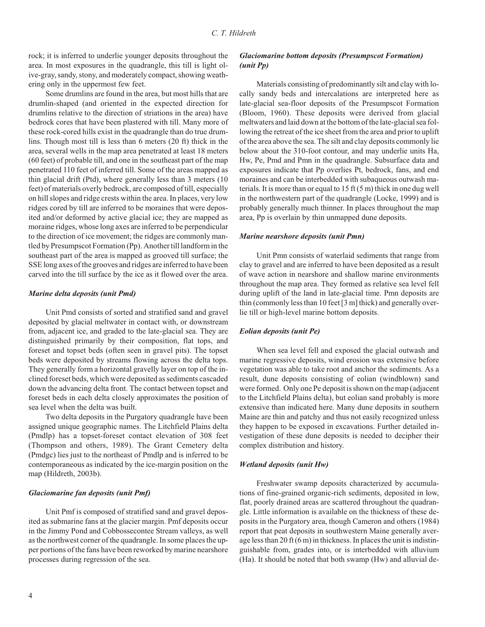rock; it is inferred to underlie younger deposits throughout the area. In most exposures in the quadrangle, this till is light olive-gray, sandy, stony, and moderately compact, showing weathering only in the uppermost few feet.

Some drumlins are found in the area, but most hills that are drumlin-shaped (and oriented in the expected direction for drum lins relative to the direction of striations in the area) have bedrock cores that have been plastered with till. Many more of these rock-cored hills exist in the quadrangle than do true drumlins. Though most till is less than  $6$  meters  $(20 \text{ ft})$  thick in the area, several wells in the map area penetrated at least 18 meters  $(60$  feet) of probable till, and one in the south east part of the map penetrated 110 feet of inferred till. Some of the areas mapped as thin glacial drift (Ptd), where generally less than  $3$  meters (10) feet) of materials overly bedrock, are composed of till, especially on hill slopes and ridge crests within the area. In places, very low ridges cored by till are inferred to be moraines that were deposited and/or deformed by active glacial ice; they are mapped as moraine ridges, whose long axes are inferred to be perpendicular to the direction of ice movement; the ridges are commonly mantled by Presumpscot Formation (Pp). Another till landform in the southeast part of the area is mapped as grooved till surface; the SSE long axes of the grooves and ridges are in ferred to have been carved into the till surface by the ice as it flowed over the area.

#### *Ma rine delta de pos its (unit Pmd)*

Unit Pmd consists of sorted and stratified sand and gravel deposited by glacial meltwater in contact with, or downstream from, adjacent ice, and graded to the late-glacial sea. They are distinguished primarily by their composition, flat tops, and foreset and topset beds (often seen in gravel pits). The topset beds were deposited by streams flowing across the delta tops. They generally form a horizontal gravelly layer on top of the inclined foreset beds, which were deposited as sediments cascaded down the advancing delta front. The contact between topset and foreset beds in each delta closely approximates the position of sea level when the delta was built.

Two delta deposits in the Purgatory quadrangle have been assigned unique geographic names. The Litchfield Plains delta (Pmdlp) has a topset-foreset contact elevation of 308 feet (Thompson and others, 1989). The Grant Cemetery delta (Pmdgc) lies just to the northeast of Pmdlp and is inferred to be con tem poraneous as indicated by the ice-margin position on the map (Hildreth, 2003b).

#### *Glaciomarine fan deposits (unit Pmf)*

Unit Pmf is composed of stratified sand and gravel deposited as submarine fans at the glacier margin. Pmf deposits occur in the Jimmy Pond and Cobbossecontee Stream valleys, as well as the northwest corner of the quadrangle. In some places the upper portions of the fans have been reworked by marine nearshore processes during regression of the sea.

# *Glaciomarine bottom deposits (Presumpscot Formation) (unit Pp)*

Materials consisting of predominantly silt and clay with locally sandy beds and intercalations are interpreted here as late-glacial sea-floor deposits of the Presumpscot Formation (Bloom, 1960). These deposits were derived from glacial meltwaters and laid down at the bottom of the late-glacial sea following the retreat of the ice sheet from the area and prior to uplift of the area above the sea. The silt and clay deposits commonly lie below about the 310-foot contour, and may under lie units Ha, Hw, Pe, Pmd and Pmn in the quadrangle. Subsurface data and exposures indicate that Pp overlies Pt, bedrock, fans, and end moraines and can be interbedded with subaqueous outwash materials. It is more than or equal to  $15 \text{ ft} (5 \text{ m})$  thick in one dug well in the northwestern part of the quadrangle (Locke, 1999) and is probably generally much thinner. In places throughout the map area, Pp is overlain by thin unmapped dune deposits.

#### *Ma rine nearshore de pos its (unit Pmn)*

Unit Pmn consists of waterlaid sediments that range from clay to gravel and are inferred to have been deposited as a result of wave action in nearshore and shallow marine environments throughout the map area. They formed as relative sea level fell during uplift of the land in late-glacial time. Pmn deposits are thin (commonly less than 10 feet  $[3 \text{ m}]$  thick) and generally overlie till or high-level marine bottom deposits.

#### *Eolian depos its (unit Pe)*

When sea level fell and exposed the glacial outwash and marine regressive deposits, wind erosion was extensive before vegetation was able to take root and anchor the sediments. As a result, dune deposits consisting of eolian (windblown) sand were formed. Only one Pe deposit is shown on the map (adjacent to the Litch field Plains delta), but eolian sand probably is more extensive than indicated here. Many dune deposits in southern Maine are thin and patchy and thus not easily recognized unless they happen to be exposed in excavations. Further detailed investigation of these dune deposits is needed to decipher their complex distribution and history.

#### *Wetland deposits (unit Hw)*

Freshwater swamp deposits characterized by accumulations of fine-grained organic-rich sediments, deposited in low, flat, poorly drained areas are scattered throughout the quadrangle. Little information is available on the thickness of these deposits in the Purgatory area, though Cameron and others (1984) report that peat deposits in southwestern Maine generally average less than 20 ft  $(6 \text{ m})$  in thickness. In places the unit is indistinguishable from, grades into, or is interbedded with alluvium  $(Ha)$ . It should be noted that both swamp  $(Hw)$  and alluvial de